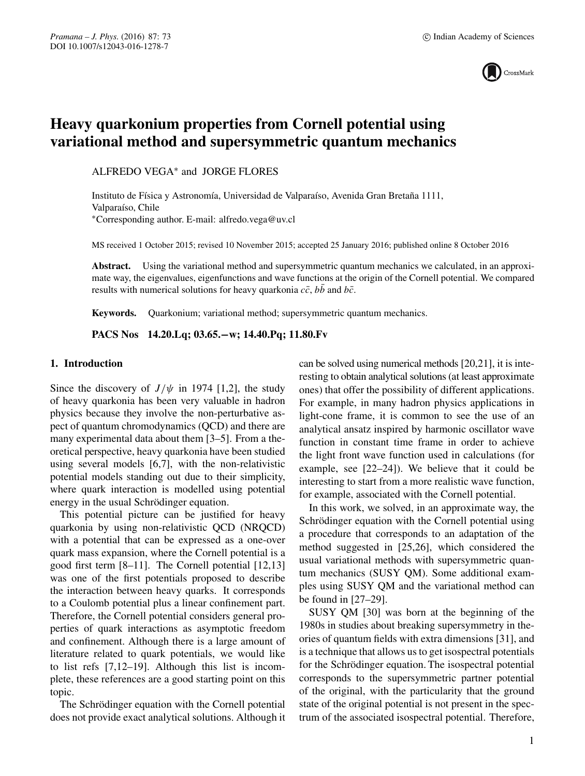

# **Heavy quarkonium properties from Cornell potential using variational method and supersymmetric quantum mechanics**

ALFREDO VEGA∗ and JORGE FLORES

Instituto de Física y Astronomía, Universidad de Valparaíso, Avenida Gran Bretaña 1111, Valparaíso, Chile ∗Corresponding author. E-mail: alfredo.vega@uv.cl

MS received 1 October 2015; revised 10 November 2015; accepted 25 January 2016; published online 8 October 2016

**Abstract.** Using the variational method and supersymmetric quantum mechanics we calculated, in an approximate way, the eigenvalues, eigenfunctions and wave functions at the origin of the Cornell potential. We compared results with numerical solutions for heavy quarkonia  $c\bar{c}$ ,  $b\bar{b}$  and  $b\bar{c}$ .

**Keywords.** Quarkonium; variational method; supersymmetric quantum mechanics.

**PACS Nos 14.20.Lq; 03.65.−w; 14.40.Pq; 11.80.Fv**

# **1. Introduction**

Since the discovery of  $J/\psi$  in 1974 [1,2], the study of heavy quarkonia has been very valuable in hadron physics because they involve the non-perturbative aspect of quantum chromodynamics (QCD) and there are many experimental data about them [3–5]. From a theoretical perspective, heavy quarkonia have been studied using several models [6,7], with the non-relativistic potential models standing out due to their simplicity, where quark interaction is modelled using potential energy in the usual Schrödinger equation.

This potential picture can be justified for heavy quarkonia by using non-relativistic QCD (NRQCD) with a potential that can be expressed as a one-over quark mass expansion, where the Cornell potential is a good first term [8–11]. The Cornell potential [12,13] was one of the first potentials proposed to describe the interaction between heavy quarks. It corresponds to a Coulomb potential plus a linear confinement part. Therefore, the Cornell potential considers general properties of quark interactions as asymptotic freedom and confinement. Although there is a large amount of literature related to quark potentials, we would like to list refs [7,12–19]. Although this list is incomplete, these references are a good starting point on this topic.

The Schrödinger equation with the Cornell potential does not provide exact analytical solutions. Although it can be solved using numerical methods [20,21], it is interesting to obtain analytical solutions (at least approximate ones) that offer the possibility of different applications. For example, in many hadron physics applications in light-cone frame, it is common to see the use of an analytical ansatz inspired by harmonic oscillator wave function in constant time frame in order to achieve the light front wave function used in calculations (for example, see [22–24]). We believe that it could be interesting to start from a more realistic wave function, for example, associated with the Cornell potential.

In this work, we solved, in an approximate way, the Schrödinger equation with the Cornell potential using a procedure that corresponds to an adaptation of the method suggested in [25,26], which considered the usual variational methods with supersymmetric quantum mechanics (SUSY QM). Some additional examples using SUSY QM and the variational method can be found in [27–29].

SUSY QM [30] was born at the beginning of the 1980s in studies about breaking supersymmetry in theories of quantum fields with extra dimensions [31], and is a technique that allows us to get isospectral potentials for the Schrödinger equation. The isospectral potential corresponds to the supersymmetric partner potential of the original, with the particularity that the ground state of the original potential is not present in the spectrum of the associated isospectral potential. Therefore,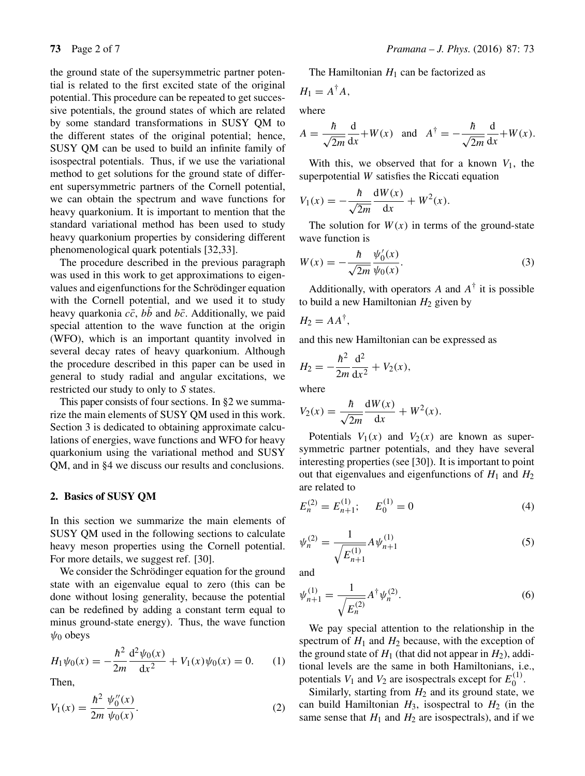the ground state of the supersymmetric partner potential is related to the first excited state of the original potential. This procedure can be repeated to get successive potentials, the ground states of which are related by some standard transformations in SUSY QM to the different states of the original potential; hence, SUSY QM can be used to build an infinite family of isospectral potentials. Thus, if we use the variational method to get solutions for the ground state of different supersymmetric partners of the Cornell potential, we can obtain the spectrum and wave functions for heavy quarkonium. It is important to mention that the standard variational method has been used to study heavy quarkonium properties by considering different phenomenological quark potentials [32,33].

The procedure described in the previous paragraph was used in this work to get approximations to eigenvalues and eigenfunctions for the Schrödinger equation with the Cornell potential, and we used it to study heavy quarkonia  $c\bar{c}$ ,  $b\bar{b}$  and  $b\bar{c}$ . Additionally, we paid special attention to the wave function at the origin (WFO), which is an important quantity involved in several decay rates of heavy quarkonium. Although the procedure described in this paper can be used in general to study radial and angular excitations, we restricted our study to only to S states.

This paper consists of four sections. In §2 we summarize the main elements of SUSY QM used in this work. Section 3 is dedicated to obtaining approximate calculations of energies, wave functions and WFO for heavy quarkonium using the variational method and SUSY QM, and in §4 we discuss our results and conclusions.

#### **2. Basics of SUSY QM**

In this section we summarize the main elements of SUSY QM used in the following sections to calculate heavy meson properties using the Cornell potential. For more details, we suggest ref. [30].

We consider the Schrödinger equation for the ground state with an eigenvalue equal to zero (this can be done without losing generality, because the potential can be redefined by adding a constant term equal to minus ground-state energy). Thus, the wave function  $\psi_0$  obeys

$$
H_1\psi_0(x) = -\frac{\hbar^2}{2m}\frac{d^2\psi_0(x)}{dx^2} + V_1(x)\psi_0(x) = 0.
$$
 (1)

Then,

$$
V_1(x) = \frac{\hbar^2}{2m} \frac{\psi_0''(x)}{\psi_0(x)}.
$$
 (2)

The Hamiltonian  $H_1$  can be factorized as

$$
H_1=A^{\dagger}A,
$$

where

$$
A = \frac{\hbar}{\sqrt{2m}} \frac{d}{dx} + W(x) \quad \text{and} \quad A^{\dagger} = -\frac{\hbar}{\sqrt{2m}} \frac{d}{dx} + W(x).
$$

With this, we observed that for a known  $V_1$ , the superpotential W satisfies the Riccati equation

$$
V_1(x) = -\frac{\hbar}{\sqrt{2m}} \frac{\mathrm{d}W(x)}{\mathrm{d}x} + W^2(x).
$$

The solution for  $W(x)$  in terms of the ground-state wave function is

$$
W(x) = -\frac{\hbar}{\sqrt{2m}} \frac{\psi_0'(x)}{\psi_0(x)}.
$$
 (3)

Additionally, with operators A and  $A^{\dagger}$  it is possible to build a new Hamiltonian  $H_2$  given by

$$
H_2 = AA^{\dagger},
$$

and this new Hamiltonian can be expressed as

$$
H_2 = -\frac{\hbar^2}{2m} \frac{\mathrm{d}^2}{\mathrm{d}x^2} + V_2(x),
$$

where

$$
V_2(x) = \frac{\hbar}{\sqrt{2m}} \frac{dW(x)}{dx} + W^2(x).
$$

Potentials  $V_1(x)$  and  $V_2(x)$  are known as supersymmetric partner potentials, and they have several interesting properties (see [30]). It is important to point out that eigenvalues and eigenfunctions of  $H_1$  and  $H_2$ are related to

$$
E_n^{(2)} = E_{n+1}^{(1)}; \qquad E_0^{(1)} = 0 \tag{4}
$$

$$
\psi_n^{(2)} = \frac{1}{\sqrt{E_{n+1}^{(1)}}} A \psi_{n+1}^{(1)} \tag{5}
$$

and

$$
\psi_{n+1}^{(1)} = \frac{1}{\sqrt{E_n^{(2)}}} A^{\dagger} \psi_n^{(2)}.
$$
\n(6)

We pay special attention to the relationship in the spectrum of  $H_1$  and  $H_2$  because, with the exception of the ground state of  $H_1$  (that did not appear in  $H_2$ ), additional levels are the same in both Hamiltonians, i.e., potentials  $V_1$  and  $V_2$  are isospectrals except for  $E_0^{(1)}$ .

Similarly, starting from  $H_2$  and its ground state, we can build Hamiltonian  $H_3$ , isospectral to  $H_2$  (in the same sense that  $H_1$  and  $H_2$  are isospectrals), and if we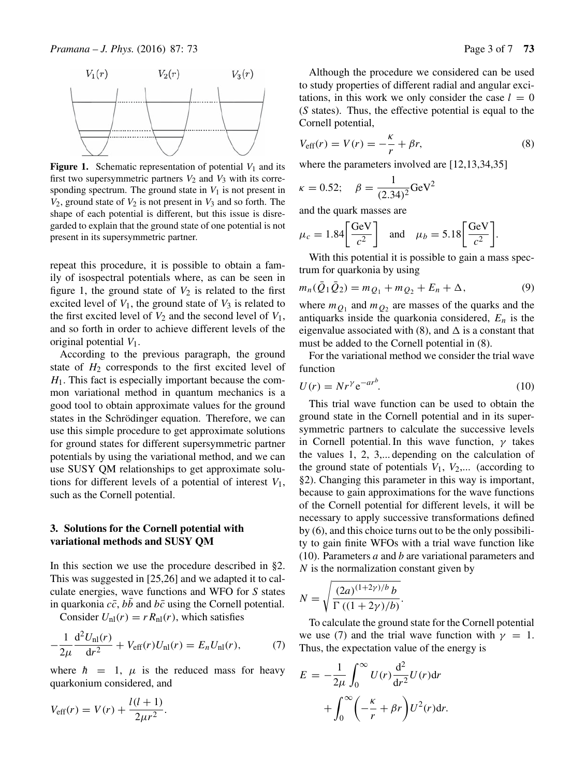

**Figure 1.** Schematic representation of potential  $V_1$  and its first two supersymmetric partners  $V_2$  and  $V_3$  with its corresponding spectrum. The ground state in  $V_1$  is not present in  $V_2$ , ground state of  $V_2$  is not present in  $V_3$  and so forth. The shape of each potential is different, but this issue is disregarded to explain that the ground state of one potential is not present in its supersymmetric partner.

repeat this procedure, it is possible to obtain a family of isospectral potentials where, as can be seen in figure 1, the ground state of  $V_2$  is related to the first excited level of  $V_1$ , the ground state of  $V_3$  is related to the first excited level of  $V_2$  and the second level of  $V_1$ , and so forth in order to achieve different levels of the original potential  $V_1$ .

According to the previous paragraph, the ground state of  $H_2$  corresponds to the first excited level of  $H<sub>1</sub>$ . This fact is especially important because the common variational method in quantum mechanics is a good tool to obtain approximate values for the ground states in the Schrödinger equation. Therefore, we can use this simple procedure to get approximate solutions for ground states for different supersymmetric partner potentials by using the variational method, and we can use SUSY QM relationships to get approximate solutions for different levels of a potential of interest  $V_1$ , such as the Cornell potential.

## **3. Solutions for the Cornell potential with variational methods and SUSY QM**

In this section we use the procedure described in §2. This was suggested in [25,26] and we adapted it to calculate energies, wave functions and WFO for *S* states in quarkonia  $c\bar{c}$ ,  $b\bar{b}$  and  $b\bar{c}$  using the Cornell potential.

Consider  $U_{nl}(r) = r R_{nl}(r)$ , which satisfies

$$
-\frac{1}{2\mu}\frac{d^2U_{\text{nl}}(r)}{dr^2} + V_{\text{eff}}(r)U_{\text{nl}}(r) = E_n U_{\text{nl}}(r),\tag{7}
$$

where  $\hbar = 1$ ,  $\mu$  is the reduced mass for heavy quarkonium considered, and

$$
V_{\text{eff}}(r) = V(r) + \frac{l(l+1)}{2\mu r^2}.
$$

Although the procedure we considered can be used to study properties of different radial and angular excitations, in this work we only consider the case  $l = 0$ (*S* states). Thus, the effective potential is equal to the Cornell potential,

$$
V_{\text{eff}}(r) = V(r) = -\frac{\kappa}{r} + \beta r,\tag{8}
$$

where the parameters involved are [12,13,34,35]

$$
\kappa = 0.52;
$$
  $\beta = \frac{1}{(2.34)^2} \text{GeV}^2$ 

and the quark masses are

$$
\mu_c = 1.84 \left[ \frac{\text{GeV}}{c^2} \right]
$$
 and  $\mu_b = 5.18 \left[ \frac{\text{GeV}}{c^2} \right]$ .

With this potential it is possible to gain a mass spectrum for quarkonia by using

$$
m_n(\bar{Q}_1 \bar{Q}_2) = m_{Q_1} + m_{Q_2} + E_n + \Delta, \qquad (9)
$$

where  $m_{Q_1}$  and  $m_{Q_2}$  are masses of the quarks and the antiquarks inside the quarkonia considered,  $E_n$  is the eigenvalue associated with (8), and  $\Delta$  is a constant that must be added to the Cornell potential in (8).

For the variational method we consider the trial wave function

$$
U(r) = Nr^{\gamma} e^{-ar^b}.
$$
 (10)

This trial wave function can be used to obtain the ground state in the Cornell potential and in its supersymmetric partners to calculate the successive levels in Cornell potential. In this wave function,  $\gamma$  takes the values 1, 2, 3,... depending on the calculation of the ground state of potentials  $V_1$ ,  $V_2$ ,... (according to §2). Changing this parameter in this way is important, because to gain approximations for the wave functions of the Cornell potential for different levels, it will be necessary to apply successive transformations defined by (6), and this choice turns out to be the only possibility to gain finite WFOs with a trial wave function like (10). Parameters  $a$  and  $b$  are variational parameters and  $N$  is the normalization constant given by

$$
N = \sqrt{\frac{(2a)^{(1+2\gamma)/b}b}{\Gamma((1+2\gamma)/b)}}.
$$

To calculate the ground state for the Cornell potential we use (7) and the trial wave function with  $\gamma = 1$ . Thus, the expectation value of the energy is

$$
E = -\frac{1}{2\mu} \int_0^\infty U(r) \frac{d^2}{dr^2} U(r) dr
$$

$$
+ \int_0^\infty \left( -\frac{\kappa}{r} + \beta r \right) U^2(r) dr.
$$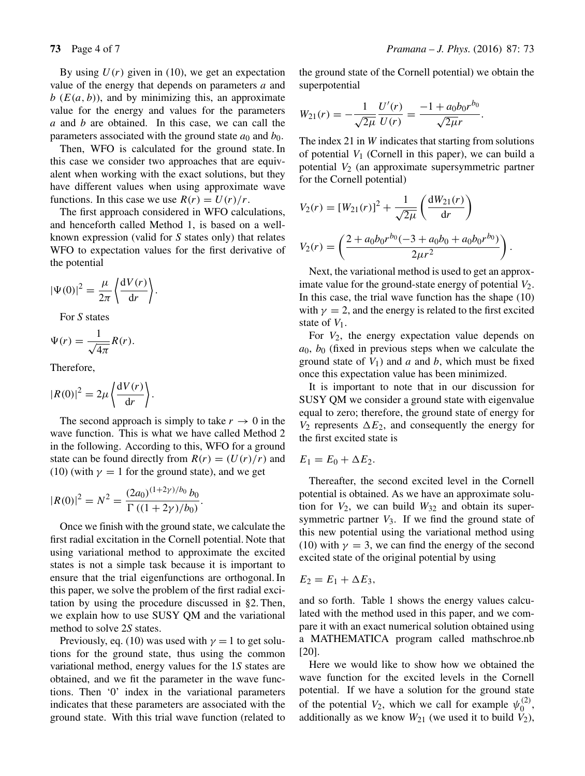By using  $U(r)$  given in (10), we get an expectation value of the energy that depends on parameters a and  $b$  ( $E(a, b)$ ), and by minimizing this, an approximate value for the energy and values for the parameters  $a$  and  $b$  are obtained. In this case, we can call the parameters associated with the ground state  $a_0$  and  $b_0$ .

Then, WFO is calculated for the ground state. In this case we consider two approaches that are equivalent when working with the exact solutions, but they have different values when using approximate wave functions. In this case we use  $R(r) = U(r)/r$ .

The first approach considered in WFO calculations, and henceforth called Method 1, is based on a wellknown expression (valid for *S* states only) that relates WFO to expectation values for the first derivative of the potential

$$
|\Psi(0)|^2 = \frac{\mu}{2\pi} \left\langle \frac{\mathrm{d}V(r)}{\mathrm{d}r} \right\rangle.
$$

For *S* states

$$
\Psi(r) = \frac{1}{\sqrt{4\pi}} R(r).
$$

Therefore,

$$
|R(0)|^2 = 2\mu \left\langle \frac{\mathrm{d}V(r)}{\mathrm{d}r} \right\rangle.
$$

The second approach is simply to take  $r \to 0$  in the wave function. This is what we have called Method 2 in the following. According to this, WFO for a ground state can be found directly from  $R(r) = (U(r)/r)$  and (10) (with  $\gamma = 1$  for the ground state), and we get

$$
|R(0)|^2 = N^2 = \frac{(2a_0)^{(1+2\gamma)/b_0} b_0}{\Gamma((1+2\gamma)/b_0)}.
$$

Once we finish with the ground state, we calculate the first radial excitation in the Cornell potential. Note that using variational method to approximate the excited states is not a simple task because it is important to ensure that the trial eigenfunctions are orthogonal. In this paper, we solve the problem of the first radial excitation by using the procedure discussed in §2. Then, we explain how to use SUSY QM and the variational method to solve 2*S* states.

Previously, eq. (10) was used with  $\gamma = 1$  to get solutions for the ground state, thus using the common variational method, energy values for the 1*S* states are obtained, and we fit the parameter in the wave functions. Then '0' index in the variational parameters indicates that these parameters are associated with the ground state. With this trial wave function (related to the ground state of the Cornell potential) we obtain the superpotential

$$
W_{21}(r) = -\frac{1}{\sqrt{2\mu}} \frac{U'(r)}{U(r)} = \frac{-1 + a_0 b_0 r^{b_0}}{\sqrt{2\mu}}.
$$

The index 21 in W indicates that starting from solutions of potential  $V_1$  (Cornell in this paper), we can build a potential  $V_2$  (an approximate supersymmetric partner for the Cornell potential)

$$
V_2(r) = [W_{21}(r)]^2 + \frac{1}{\sqrt{2\mu}} \left(\frac{dW_{21}(r)}{dr}\right)
$$
  

$$
V_2(r) = \left(\frac{2 + a_0 b_0 r^{b_0} (-3 + a_0 b_0 + a_0 b_0 r^{b_0})}{2\mu r^2}\right).
$$

Next, the variational method is used to get an approximate value for the ground-state energy of potential  $V_2$ . In this case, the trial wave function has the shape (10) with  $\gamma = 2$ , and the energy is related to the first excited state of  $V_1$ .

For  $V_2$ , the energy expectation value depends on  $a_0$ ,  $b_0$  (fixed in previous steps when we calculate the ground state of  $V_1$ ) and a and b, which must be fixed once this expectation value has been minimized.

It is important to note that in our discussion for SUSY QM we consider a ground state with eigenvalue equal to zero; therefore, the ground state of energy for  $V_2$  represents  $\Delta E_2$ , and consequently the energy for the first excited state is

 $E_1 = E_0 + \Delta E_2.$ 

Thereafter, the second excited level in the Cornell potential is obtained. As we have an approximate solution for  $V_2$ , we can build  $W_{32}$  and obtain its supersymmetric partner  $V_3$ . If we find the ground state of this new potential using the variational method using (10) with  $\gamma = 3$ , we can find the energy of the second excited state of the original potential by using

$$
E_2=E_1+\Delta E_3,
$$

and so forth. Table 1 shows the energy values calculated with the method used in this paper, and we compare it with an exact numerical solution obtained using a MATHEMATICA program called mathschroe.nb [20].

Here we would like to show how we obtained the wave function for the excited levels in the Cornell potential. If we have a solution for the ground state of the potential  $V_2$ , which we call for example  $\psi_0^{(2)}$ , additionally as we know  $W_{21}$  (we used it to build  $V_2$ ),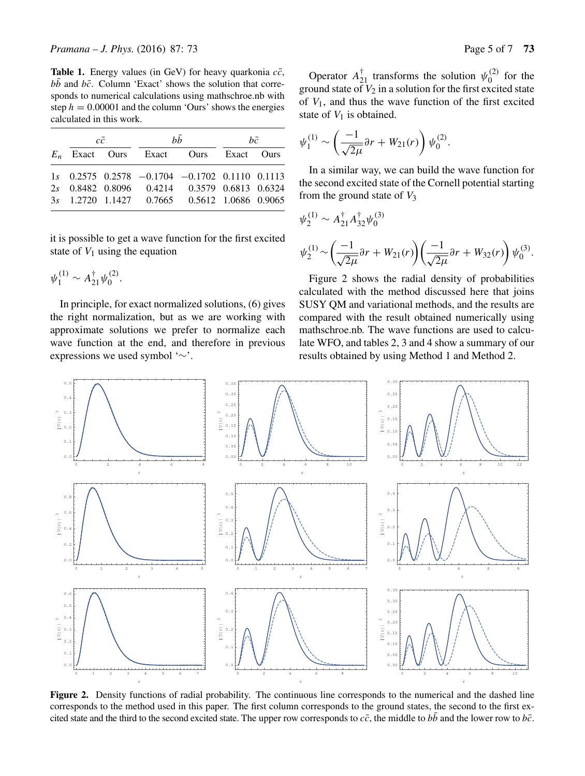**Table 1.** Energy values (in GeV) for heavy quarkonia  $c\bar{c}$ ,  $b\bar{b}$  and  $b\bar{c}$ . Column 'Exact' shows the solution that corresponds to numerical calculations using mathschroe.nb with step  $h = 0.00001$  and the column 'Ours' shows the energies calculated in this work.

|  | cc |                                                  | bb | hē |  |
|--|----|--------------------------------------------------|----|----|--|
|  |    | $E_n$ Exact Ours Exact Ours Exact Ours           |    |    |  |
|  |    | $1s$ 0.2575 0.2578 -0.1704 -0.1702 0.1110 0.1113 |    |    |  |
|  |    | 2s 0.8482 0.8096 0.4214 0.3579 0.6813 0.6324     |    |    |  |
|  |    | 3s 1.2720 1.1427 0.7665 0.5612 1.0686 0.9065     |    |    |  |

it is possible to get a wave function for the first excited state of  $V_1$  using the equation

$$
\psi_1^{(1)} \sim A_{21}^\dagger \psi_0^{(2)}.
$$

In principle, for exact normalized solutions, (6) gives the right normalization, but as we are working with approximate solutions we prefer to normalize each wave function at the end, and therefore in previous expressions we used symbol '∼'.

Operator  $A_{21}^{\dagger}$  transforms the solution  $\psi_0^{(2)}$  for the ground state of  $V_2$  in a solution for the first excited state of  $V_1$ , and thus the wave function of the first excited state of  $V_1$  is obtained.

$$
\psi_1^{(1)} \sim \left(\frac{-1}{\sqrt{2\mu}} \partial r + W_{21}(r)\right) \psi_0^{(2)}.
$$

In a similar way, we can build the wave function for the second excited state of the Cornell potential starting from the ground state of  $V_3$ 

$$
\psi_2^{(1)} \sim A_{21}^{\dagger} A_{32}^{\dagger} \psi_0^{(3)}
$$
  

$$
\psi_2^{(1)} \sim \left(\frac{-1}{\sqrt{2\mu}} \partial r + W_{21}(r)\right) \left(\frac{-1}{\sqrt{2\mu}} \partial r + W_{32}(r)\right) \psi_0^{(3)}.
$$

Figure 2 shows the radial density of probabilities calculated with the method discussed here that joins SUSY QM and variational methods, and the results are compared with the result obtained numerically using mathschroe.nb. The wave functions are used to calculate WFO, and tables 2, 3 and 4 show a summary of our results obtained by using Method 1 and Method 2.



**Figure 2.** Density functions of radial probability. The continuous line corresponds to the numerical and the dashed line corresponds to the method used in this paper. The first column corresponds to the ground states, the second to the first excited state and the third to the second excited state. The upper row corresponds to  $c\bar{c}$ , the middle to bb and the lower row to b $\bar{c}$ .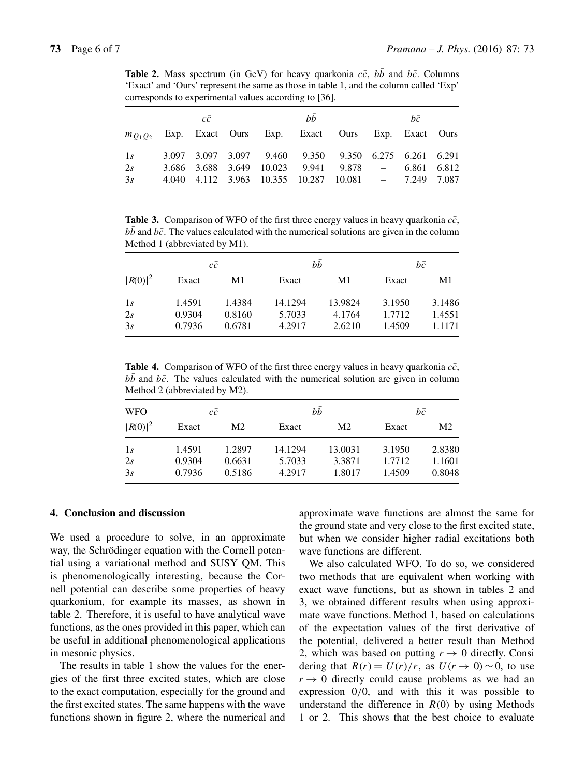**Table 2.** Mass spectrum (in GeV) for heavy quarkonia  $c\bar{c}$ ,  $b\bar{b}$  and  $b\bar{c}$ . Columns 'Exact' and 'Ours' represent the same as those in table 1, and the column called 'Exp' corresponds to experimental values according to [36].

| сē |  |  | bb |                                                              |  | bē |  |  |  |
|----|--|--|----|--------------------------------------------------------------|--|----|--|--|--|
|    |  |  |    | $m_{O_1O_2}$ Exp. Exact Ours Exp. Exact Ours Exp. Exact Ours |  |    |  |  |  |
| 1s |  |  |    | 3.097 3.097 3.097 9.460 9.350 9.350 6.275 6.261 6.291        |  |    |  |  |  |
| 2s |  |  |    | 3.686 3.688 3.649 10.023 9.941 9.878 - 6.861 6.812           |  |    |  |  |  |
| 3s |  |  |    | 4.040 4.112 3.963 10.355 10.287 10.081 - 7.249 7.087         |  |    |  |  |  |

**Table 3.** Comparison of WFO of the first three energy values in heavy quarkonia  $c\bar{c}$ ,  $bb$  and  $b\bar{c}$ . The values calculated with the numerical solutions are given in the column Method 1 (abbreviated by M1).

|            |        | $c\bar{c}$ |         | bb      | bē     |        |
|------------|--------|------------|---------|---------|--------|--------|
| $ R(0) ^2$ | Exact  | M1         | Exact   | M1      | Exact  | M1     |
| 1s         | 1.4591 | 1.4384     | 14.1294 | 13.9824 | 3.1950 | 3.1486 |
| 2s         | 0.9304 | 0.8160     | 5.7033  | 4.1764  | 1.7712 | 1.4551 |
| 3s         | 0.7936 | 0.6781     | 4.2917  | 2.6210  | 1.4509 | 1.1171 |

**Table 4.** Comparison of WFO of the first three energy values in heavy quarkonia  $c\bar{c}$ ,  $b\bar{b}$  and  $b\bar{c}$ . The values calculated with the numerical solution are given in column Method 2 (abbreviated by M2).

| <b>WFO</b><br>$ R(0) ^2$ | сē     |                |         | bb             | bē     |        |
|--------------------------|--------|----------------|---------|----------------|--------|--------|
|                          | Exact  | M <sub>2</sub> | Exact   | M <sub>2</sub> | Exact  | M2     |
| 1s                       | 1.4591 | 1.2897         | 14.1294 | 13.0031        | 3.1950 | 2.8380 |
| 2s                       | 0.9304 | 0.6631         | 5.7033  | 3.3871         | 1.7712 | 1.1601 |
| 3s                       | 0.7936 | 0.5186         | 4.2917  | 1.8017         | 1.4509 | 0.8048 |

#### **4. Conclusion and discussion**

We used a procedure to solve, in an approximate way, the Schrödinger equation with the Cornell potential using a variational method and SUSY QM. This is phenomenologically interesting, because the Cornell potential can describe some properties of heavy quarkonium, for example its masses, as shown in table 2. Therefore, it is useful to have analytical wave functions, as the ones provided in this paper, which can be useful in additional phenomenological applications in mesonic physics.

The results in table 1 show the values for the energies of the first three excited states, which are close to the exact computation, especially for the ground and the first excited states. The same happens with the wave functions shown in figure 2, where the numerical and approximate wave functions are almost the same for the ground state and very close to the first excited state, but when we consider higher radial excitations both wave functions are different.

We also calculated WFO. To do so, we considered two methods that are equivalent when working with exact wave functions, but as shown in tables 2 and 3, we obtained different results when using approximate wave functions. Method 1, based on calculations of the expectation values of the first derivative of the potential, delivered a better result than Method 2, which was based on putting  $r \to 0$  directly. Consi dering that  $R(r) = U(r)/r$ , as  $U(r \rightarrow 0) \sim 0$ , to use  $r \rightarrow 0$  directly could cause problems as we had an expression 0/0, and with this it was possible to understand the difference in  $R(0)$  by using Methods 1 or 2. This shows that the best choice to evaluate